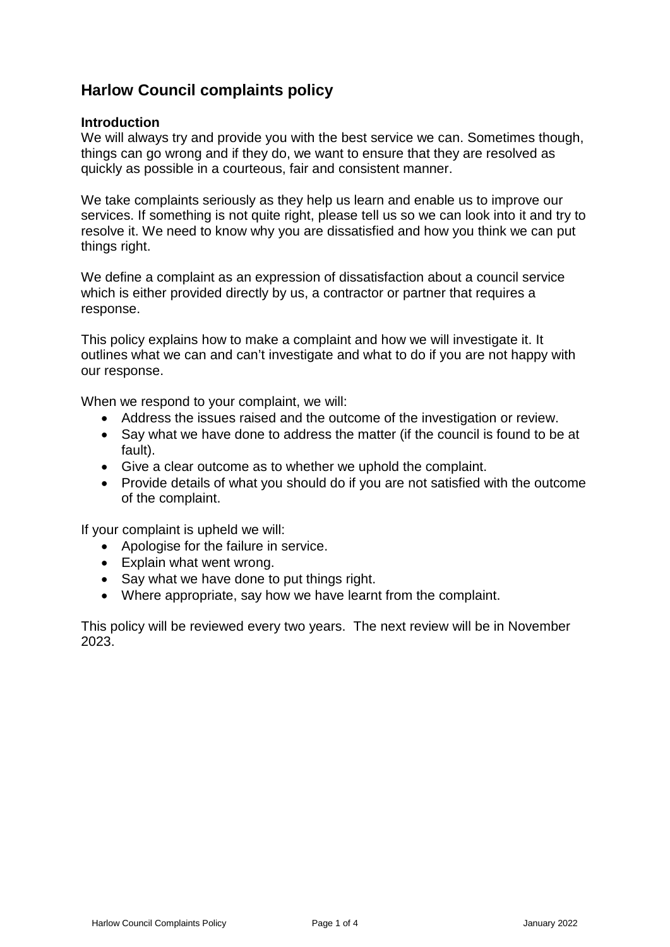# **Harlow Council complaints policy**

#### **Introduction**

We will always try and provide you with the best service we can. Sometimes though, things can go wrong and if they do, we want to ensure that they are resolved as quickly as possible in a courteous, fair and consistent manner.

We take complaints seriously as they help us learn and enable us to improve our services. If something is not quite right, please tell us so we can look into it and try to resolve it. We need to know why you are dissatisfied and how you think we can put things right.

We define a complaint as an expression of dissatisfaction about a council service which is either provided directly by us, a contractor or partner that requires a response.

This policy explains how to make a complaint and how we will investigate it. It outlines what we can and can't investigate and what to do if you are not happy with our response.

When we respond to your complaint, we will:

- Address the issues raised and the outcome of the investigation or review.
- Say what we have done to address the matter (if the council is found to be at fault).
- Give a clear outcome as to whether we uphold the complaint.
- Provide details of what you should do if you are not satisfied with the outcome of the complaint.

If your complaint is upheld we will:

- Apologise for the failure in service.
- Explain what went wrong.
- Say what we have done to put things right.
- Where appropriate, say how we have learnt from the complaint.

This policy will be reviewed every two years. The next review will be in November 2023.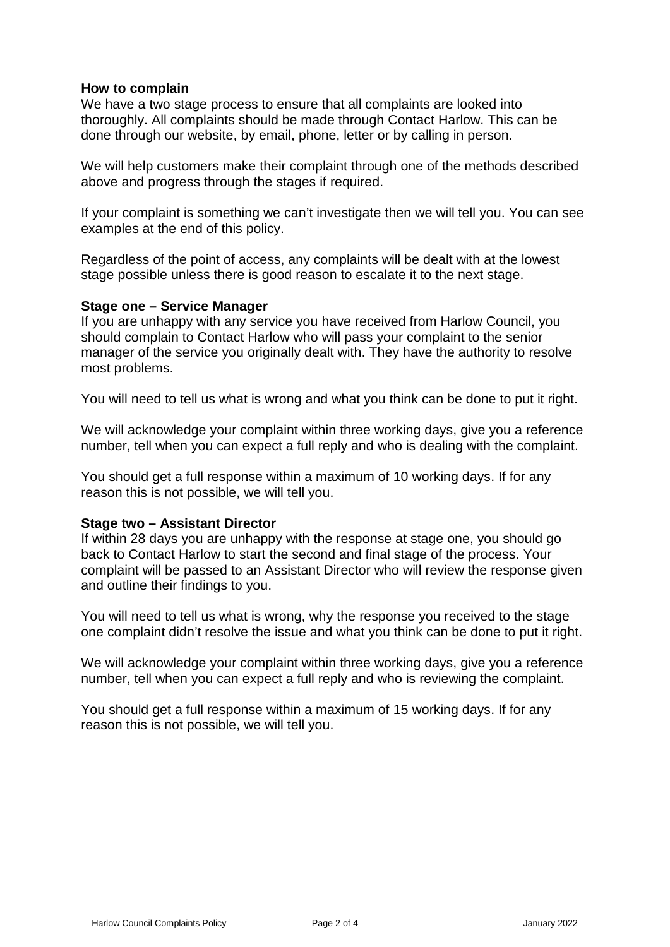# **How to complain**

We have a two stage process to ensure that all complaints are looked into thoroughly. All complaints should be made through Contact Harlow. This can be done through our website, by email, phone, letter or by calling in person.

We will help customers make their complaint through one of the methods described above and progress through the stages if required.

If your complaint is something we can't investigate then we will tell you. You can see examples at the end of this policy.

Regardless of the point of access, any complaints will be dealt with at the lowest stage possible unless there is good reason to escalate it to the next stage.

#### **Stage one – Service Manager**

If you are unhappy with any service you have received from Harlow Council, you should complain to Contact Harlow who will pass your complaint to the senior manager of the service you originally dealt with. They have the authority to resolve most problems.

You will need to tell us what is wrong and what you think can be done to put it right.

We will acknowledge your complaint within three working days, give you a reference number, tell when you can expect a full reply and who is dealing with the complaint.

You should get a full response within a maximum of 10 working days. If for any reason this is not possible, we will tell you.

#### **Stage two – Assistant Director**

If within 28 days you are unhappy with the response at stage one, you should go back to Contact Harlow to start the second and final stage of the process. Your complaint will be passed to an Assistant Director who will review the response given and outline their findings to you.

You will need to tell us what is wrong, why the response you received to the stage one complaint didn't resolve the issue and what you think can be done to put it right.

We will acknowledge your complaint within three working days, give you a reference number, tell when you can expect a full reply and who is reviewing the complaint.

You should get a full response within a maximum of 15 working days. If for any reason this is not possible, we will tell you.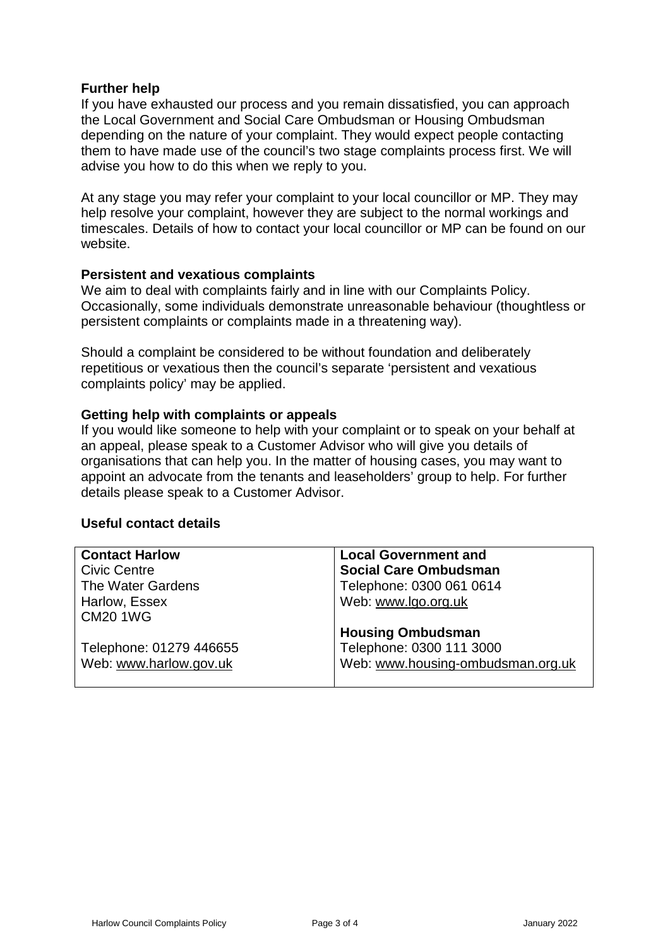# **Further help**

If you have exhausted our process and you remain dissatisfied, you can approach the Local Government and Social Care Ombudsman or Housing Ombudsman depending on the nature of your complaint. They would expect people contacting them to have made use of the council's two stage complaints process first. We will advise you how to do this when we reply to you.

At any stage you may refer your complaint to your local councillor or MP. They may help resolve your complaint, however they are subject to the normal workings and timescales. Details of how to contact your local councillor or MP can be found on our website.

#### **Persistent and vexatious complaints**

We aim to deal with complaints fairly and in line with our Complaints Policy. Occasionally, some individuals demonstrate unreasonable behaviour (thoughtless or persistent complaints or complaints made in a threatening way).

Should a complaint be considered to be without foundation and deliberately repetitious or vexatious then the council's separate 'persistent and vexatious complaints policy' may be applied.

# **Getting help with complaints or appeals**

If you would like someone to help with your complaint or to speak on your behalf at an appeal, please speak to a Customer Advisor who will give you details of organisations that can help you. In the matter of housing cases, you may want to appoint an advocate from the tenants and leaseholders' group to help. For further details please speak to a Customer Advisor.

#### **Useful contact details**

| <b>Contact Harlow</b>   | <b>Local Government and</b>       |
|-------------------------|-----------------------------------|
| <b>Civic Centre</b>     | <b>Social Care Ombudsman</b>      |
| The Water Gardens       | Telephone: 0300 061 0614          |
| Harlow, Essex           | Web: www.lgo.org.uk               |
| <b>CM20 1WG</b>         |                                   |
|                         | <b>Housing Ombudsman</b>          |
| Telephone: 01279 446655 | Telephone: 0300 111 3000          |
| Web: www.harlow.gov.uk  | Web: www.housing-ombudsman.org.uk |
|                         |                                   |